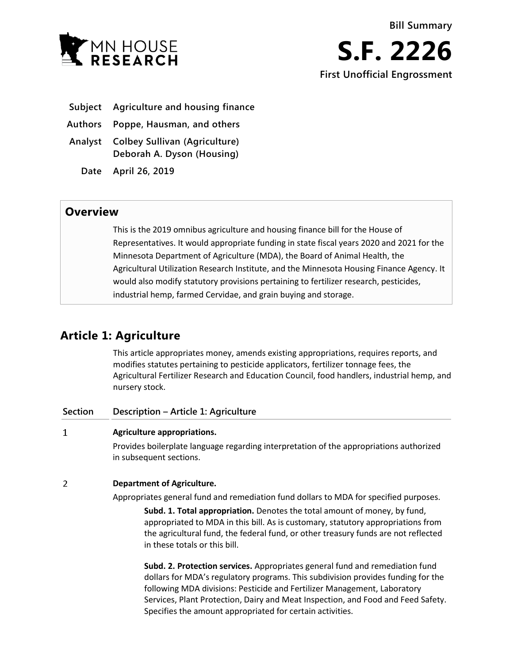

- **Subject Agriculture and housing finance**
- **Authors Poppe, Hausman, and others**
- **Analyst Colbey Sullivan (Agriculture) Deborah A. Dyson (Housing)**
	- **Date April 26, 2019**

## **Overview**

This is the 2019 omnibus agriculture and housing finance bill for the House of Representatives. It would appropriate funding in state fiscal years 2020 and 2021 for the Minnesota Department of Agriculture (MDA), the Board of Animal Health, the Agricultural Utilization Research Institute, and the Minnesota Housing Finance Agency. It would also modify statutory provisions pertaining to fertilizer research, pesticides, industrial hemp, farmed Cervidae, and grain buying and storage.

# **Article 1: Agriculture**

This article appropriates money, amends existing appropriations, requires reports, and modifies statutes pertaining to pesticide applicators, fertilizer tonnage fees, the Agricultural Fertilizer Research and Education Council, food handlers, industrial hemp, and nursery stock.

| Section | Description – Article 1: Agriculture                                                                                                                                                                                                                                                                                             |
|---------|----------------------------------------------------------------------------------------------------------------------------------------------------------------------------------------------------------------------------------------------------------------------------------------------------------------------------------|
| 1       | Agriculture appropriations.                                                                                                                                                                                                                                                                                                      |
|         | Provides boilerplate language regarding interpretation of the appropriations authorized<br>in subsequent sections.                                                                                                                                                                                                               |
| 2       | <b>Department of Agriculture.</b>                                                                                                                                                                                                                                                                                                |
|         | Appropriates general fund and remediation fund dollars to MDA for specified purposes.                                                                                                                                                                                                                                            |
|         | Subd. 1. Total appropriation. Denotes the total amount of money, by fund,<br>appropriated to MDA in this bill. As is customary, statutory appropriations from<br>the agricultural fund, the federal fund, or other treasury funds are not reflected<br>in these totals or this bill.                                             |
|         | Subd. 2. Protection services. Appropriates general fund and remediation fund<br>dollars for MDA's regulatory programs. This subdivision provides funding for the<br>following MDA divisions: Pesticide and Fertilizer Management, Laboratory<br>Services, Plant Protection, Dairy and Meat Inspection, and Food and Feed Safety. |

Specifies the amount appropriated for certain activities.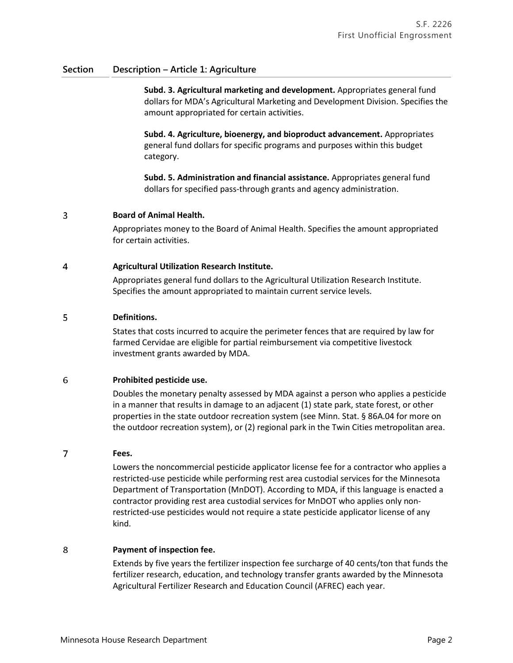**Subd. 3. Agricultural marketing and development.** Appropriates general fund dollars for MDA's Agricultural Marketing and Development Division. Specifies the amount appropriated for certain activities.

**Subd. 4. Agriculture, bioenergy, and bioproduct advancement.** Appropriates general fund dollars for specific programs and purposes within this budget category.

**Subd. 5. Administration and financial assistance.** Appropriates general fund dollars for specified pass-through grants and agency administration.

#### 3 **Board of Animal Health.**

Appropriates money to the Board of Animal Health. Specifies the amount appropriated for certain activities.

#### $\overline{4}$ **Agricultural Utilization Research Institute.**

Appropriates general fund dollars to the Agricultural Utilization Research Institute. Specifies the amount appropriated to maintain current service levels.

#### 5 **Definitions.**

States that costs incurred to acquire the perimeter fences that are required by law for farmed Cervidae are eligible for partial reimbursement via competitive livestock investment grants awarded by MDA.

#### 6 **Prohibited pesticide use.**

Doubles the monetary penalty assessed by MDA against a person who applies a pesticide in a manner that results in damage to an adjacent (1) state park, state forest, or other properties in the state outdoor recreation system (see Minn. Stat. § 86A.04 for more on the outdoor recreation system), or (2) regional park in the Twin Cities metropolitan area.

#### 7 **Fees.**

Lowers the noncommercial pesticide applicator license fee for a contractor who applies a restricted-use pesticide while performing rest area custodial services for the Minnesota Department of Transportation (MnDOT). According to MDA, if this language is enacted a contractor providing rest area custodial services for MnDOT who applies only nonrestricted-use pesticides would not require a state pesticide applicator license of any kind.

#### 8 **Payment of inspection fee.**

Extends by five years the fertilizer inspection fee surcharge of 40 cents/ton that funds the fertilizer research, education, and technology transfer grants awarded by the Minnesota Agricultural Fertilizer Research and Education Council (AFREC) each year.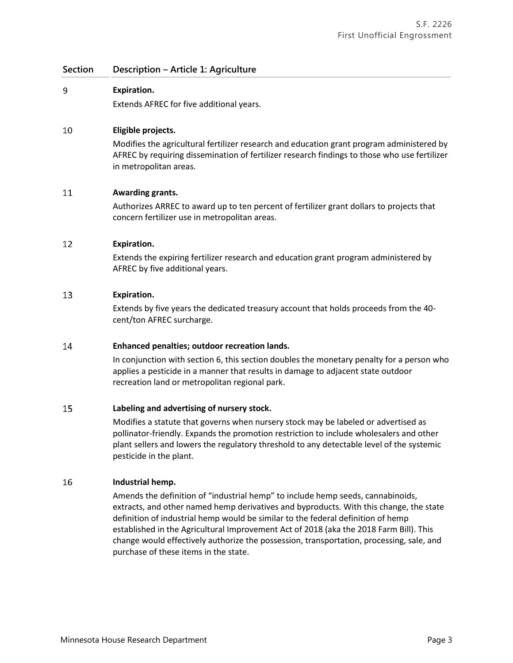#### 9 **Expiration.**

Extends AFREC for five additional years.

#### 10 **Eligible projects.**

Modifies the agricultural fertilizer research and education grant program administered by AFREC by requiring dissemination of fertilizer research findings to those who use fertilizer in metropolitan areas.

#### 11 **Awarding grants.**

Authorizes ARREC to award up to ten percent of fertilizer grant dollars to projects that concern fertilizer use in metropolitan areas.

#### 12 **Expiration.**

Extends the expiring fertilizer research and education grant program administered by AFREC by five additional years.

#### 13 **Expiration.**

Extends by five years the dedicated treasury account that holds proceeds from the 40 cent/ton AFREC surcharge.

#### 14 **Enhanced penalties; outdoor recreation lands.**

In conjunction with section 6, this section doubles the monetary penalty for a person who applies a pesticide in a manner that results in damage to adjacent state outdoor recreation land or metropolitan regional park.

#### 15 **Labeling and advertising of nursery stock.**

Modifies a statute that governs when nursery stock may be labeled or advertised as pollinator-friendly. Expands the promotion restriction to include wholesalers and other plant sellers and lowers the regulatory threshold to any detectable level of the systemic pesticide in the plant.

#### 16 **Industrial hemp.**

Amends the definition of "industrial hemp" to include hemp seeds, cannabinoids, extracts, and other named hemp derivatives and byproducts. With this change, the state definition of industrial hemp would be similar to the federal definition of hemp established in the Agricultural Improvement Act of 2018 (aka the 2018 Farm Bill). This change would effectively authorize the possession, transportation, processing, sale, and purchase of these items in the state.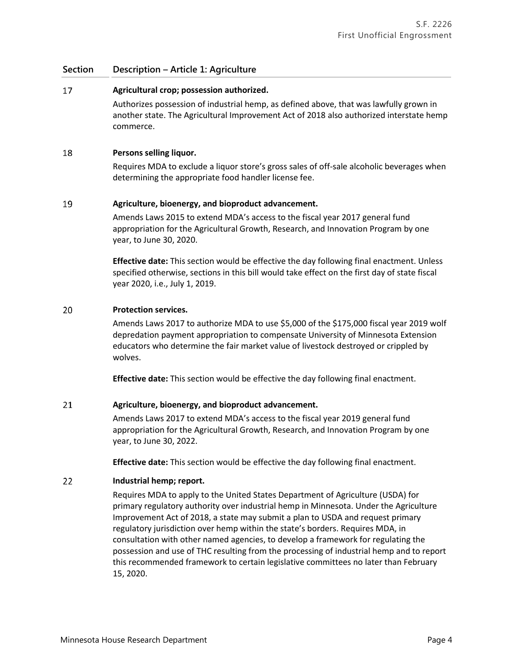#### 17 **Agricultural crop; possession authorized.**

Authorizes possession of industrial hemp, as defined above, that was lawfully grown in another state. The Agricultural Improvement Act of 2018 also authorized interstate hemp commerce.

#### 18 **Persons selling liquor.**

Requires MDA to exclude a liquor store's gross sales of off-sale alcoholic beverages when determining the appropriate food handler license fee.

#### 19 **Agriculture, bioenergy, and bioproduct advancement.**

Amends Laws 2015 to extend MDA's access to the fiscal year 2017 general fund appropriation for the Agricultural Growth, Research, and Innovation Program by one year, to June 30, 2020.

**Effective date:** This section would be effective the day following final enactment. Unless specified otherwise, sections in this bill would take effect on the first day of state fiscal year 2020, i.e., July 1, 2019.

#### 20 **Protection services.**

Amends Laws 2017 to authorize MDA to use \$5,000 of the \$175,000 fiscal year 2019 wolf depredation payment appropriation to compensate University of Minnesota Extension educators who determine the fair market value of livestock destroyed or crippled by wolves.

**Effective date:** This section would be effective the day following final enactment.

#### 21 **Agriculture, bioenergy, and bioproduct advancement.**

Amends Laws 2017 to extend MDA's access to the fiscal year 2019 general fund appropriation for the Agricultural Growth, Research, and Innovation Program by one year, to June 30, 2022.

**Effective date:** This section would be effective the day following final enactment.

#### 22 **Industrial hemp; report.**

Requires MDA to apply to the United States Department of Agriculture (USDA) for primary regulatory authority over industrial hemp in Minnesota. Under the Agriculture Improvement Act of 2018, a state may submit a plan to USDA and request primary regulatory jurisdiction over hemp within the state's borders. Requires MDA, in consultation with other named agencies, to develop a framework for regulating the possession and use of THC resulting from the processing of industrial hemp and to report this recommended framework to certain legislative committees no later than February 15, 2020.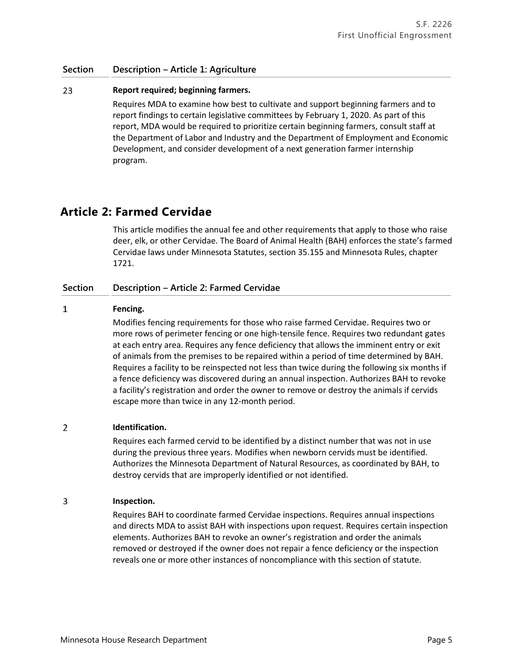#### 23 **Report required; beginning farmers.**

Requires MDA to examine how best to cultivate and support beginning farmers and to report findings to certain legislative committees by February 1, 2020. As part of this report, MDA would be required to prioritize certain beginning farmers, consult staff at the Department of Labor and Industry and the Department of Employment and Economic Development, and consider development of a next generation farmer internship program.

## **Article 2: Farmed Cervidae**

This article modifies the annual fee and other requirements that apply to those who raise deer, elk, or other Cervidae. The Board of Animal Health (BAH) enforces the state's farmed Cervidae laws under Minnesota Statutes, section 35.155 and Minnesota Rules, chapter 1721.

### **Section Description – Article 2: Farmed Cervidae**

#### $\mathbf{1}$ **Fencing.**

Modifies fencing requirements for those who raise farmed Cervidae. Requires two or more rows of perimeter fencing or one high-tensile fence. Requires two redundant gates at each entry area. Requires any fence deficiency that allows the imminent entry or exit of animals from the premises to be repaired within a period of time determined by BAH. Requires a facility to be reinspected not less than twice during the following six months if a fence deficiency was discovered during an annual inspection. Authorizes BAH to revoke a facility's registration and order the owner to remove or destroy the animals if cervids escape more than twice in any 12-month period.

#### $\overline{2}$ **Identification.**

Requires each farmed cervid to be identified by a distinct number that was not in use during the previous three years. Modifies when newborn cervids must be identified. Authorizes the Minnesota Department of Natural Resources, as coordinated by BAH, to destroy cervids that are improperly identified or not identified.

#### 3 **Inspection.**

Requires BAH to coordinate farmed Cervidae inspections. Requires annual inspections and directs MDA to assist BAH with inspections upon request. Requires certain inspection elements. Authorizes BAH to revoke an owner's registration and order the animals removed or destroyed if the owner does not repair a fence deficiency or the inspection reveals one or more other instances of noncompliance with this section of statute.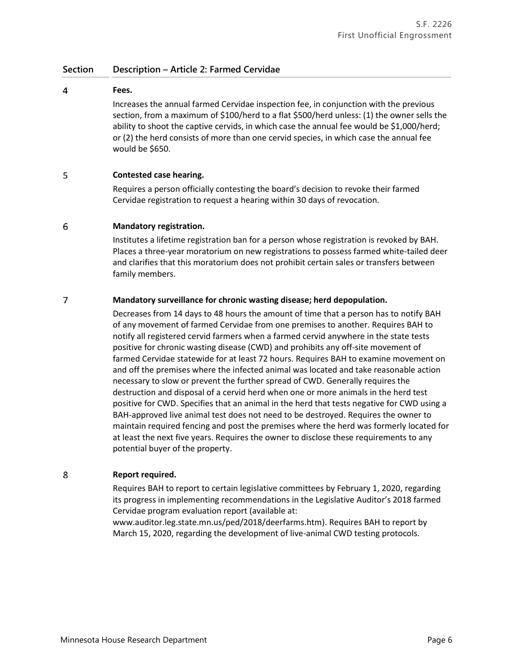### **Section Description – Article 2: Farmed Cervidae**

### **Fees.**

 $\overline{4}$ 

Increases the annual farmed Cervidae inspection fee, in conjunction with the previous section, from a maximum of \$100/herd to a flat \$500/herd unless: (1) the owner sells the ability to shoot the captive cervids, in which case the annual fee would be \$1,000/herd; or (2) the herd consists of more than one cervid species, in which case the annual fee would be \$650.

#### 5 **Contested case hearing.**

Requires a person officially contesting the board's decision to revoke their farmed Cervidae registration to request a hearing within 30 days of revocation.

#### 6 **Mandatory registration.**

Institutes a lifetime registration ban for a person whose registration is revoked by BAH. Places a three-year moratorium on new registrations to possess farmed white-tailed deer and clarifies that this moratorium does not prohibit certain sales or transfers between family members.

#### $\overline{7}$ **Mandatory surveillance for chronic wasting disease; herd depopulation.**

Decreases from 14 days to 48 hours the amount of time that a person has to notify BAH of any movement of farmed Cervidae from one premises to another. Requires BAH to notify all registered cervid farmers when a farmed cervid anywhere in the state tests positive for chronic wasting disease (CWD) and prohibits any off-site movement of farmed Cervidae statewide for at least 72 hours. Requires BAH to examine movement on and off the premises where the infected animal was located and take reasonable action necessary to slow or prevent the further spread of CWD. Generally requires the destruction and disposal of a cervid herd when one or more animals in the herd test positive for CWD. Specifies that an animal in the herd that tests negative for CWD using a BAH-approved live animal test does not need to be destroyed. Requires the owner to maintain required fencing and post the premises where the herd was formerly located for at least the next five years. Requires the owner to disclose these requirements to any potential buyer of the property.

#### 8 **Report required.**

Requires BAH to report to certain legislative committees by February 1, 2020, regarding its progress in implementing recommendations in the Legislative Auditor's 2018 farmed Cervidae program evaluation report (available at:

www.auditor.leg.state.mn.us/ped/2018/deerfarms.htm). Requires BAH to report by March 15, 2020, regarding the development of live-animal CWD testing protocols.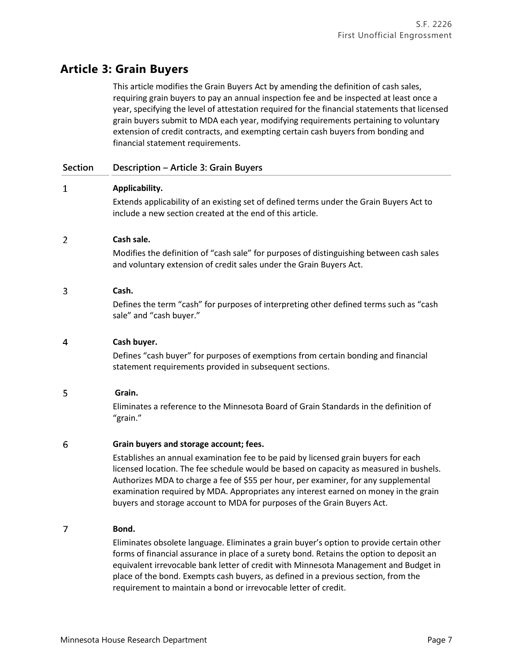# **Article 3: Grain Buyers**

This article modifies the Grain Buyers Act by amending the definition of cash sales, requiring grain buyers to pay an annual inspection fee and be inspected at least once a year, specifying the level of attestation required for the financial statements that licensed grain buyers submit to MDA each year, modifying requirements pertaining to voluntary extension of credit contracts, and exempting certain cash buyers from bonding and financial statement requirements.

### **Section Description – Article 3: Grain Buyers**

#### $\mathbf{1}$ **Applicability.**

Extends applicability of an existing set of defined terms under the Grain Buyers Act to include a new section created at the end of this article.

#### $\overline{2}$ **Cash sale.**

Modifies the definition of "cash sale" for purposes of distinguishing between cash sales and voluntary extension of credit sales under the Grain Buyers Act.

#### 3 **Cash.**

Defines the term "cash" for purposes of interpreting other defined terms such as "cash sale" and "cash buyer."

#### $\overline{4}$ **Cash buyer.**

Defines "cash buyer" for purposes of exemptions from certain bonding and financial statement requirements provided in subsequent sections.

#### 5 **Grain.**

Eliminates a reference to the Minnesota Board of Grain Standards in the definition of "grain."

#### 6 **Grain buyers and storage account; fees.**

Establishes an annual examination fee to be paid by licensed grain buyers for each licensed location. The fee schedule would be based on capacity as measured in bushels. Authorizes MDA to charge a fee of \$55 per hour, per examiner, for any supplemental examination required by MDA. Appropriates any interest earned on money in the grain buyers and storage account to MDA for purposes of the Grain Buyers Act.

#### $\overline{7}$ **Bond.**

Eliminates obsolete language. Eliminates a grain buyer's option to provide certain other forms of financial assurance in place of a surety bond. Retains the option to deposit an equivalent irrevocable bank letter of credit with Minnesota Management and Budget in place of the bond. Exempts cash buyers, as defined in a previous section, from the requirement to maintain a bond or irrevocable letter of credit.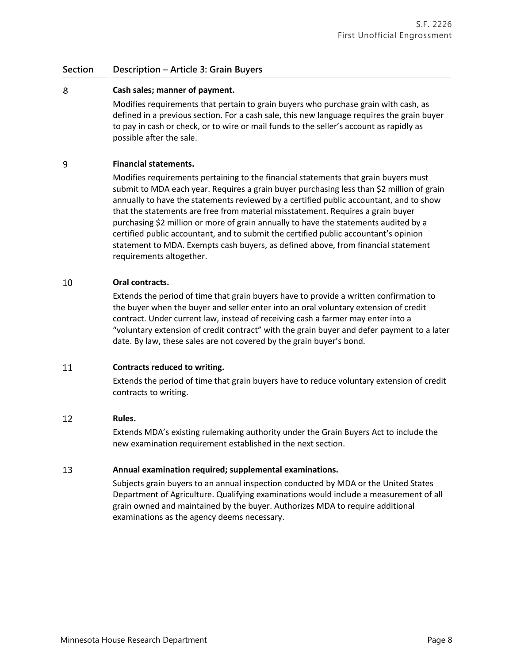### **Section Description – Article 3: Grain Buyers**

#### 8 **Cash sales; manner of payment.**

Modifies requirements that pertain to grain buyers who purchase grain with cash, as defined in a previous section. For a cash sale, this new language requires the grain buyer to pay in cash or check, or to wire or mail funds to the seller's account as rapidly as possible after the sale.

#### 9 **Financial statements.**

Modifies requirements pertaining to the financial statements that grain buyers must submit to MDA each year. Requires a grain buyer purchasing less than \$2 million of grain annually to have the statements reviewed by a certified public accountant, and to show that the statements are free from material misstatement. Requires a grain buyer purchasing \$2 million or more of grain annually to have the statements audited by a certified public accountant, and to submit the certified public accountant's opinion statement to MDA. Exempts cash buyers, as defined above, from financial statement requirements altogether.

#### 10 **Oral contracts.**

Extends the period of time that grain buyers have to provide a written confirmation to the buyer when the buyer and seller enter into an oral voluntary extension of credit contract. Under current law, instead of receiving cash a farmer may enter into a "voluntary extension of credit contract" with the grain buyer and defer payment to a later date. By law, these sales are not covered by the grain buyer's bond.

#### 11 **Contracts reduced to writing.**

Extends the period of time that grain buyers have to reduce voluntary extension of credit contracts to writing.

#### 12 **Rules.**

Extends MDA's existing rulemaking authority under the Grain Buyers Act to include the new examination requirement established in the next section.

#### 13 **Annual examination required; supplemental examinations.**

Subjects grain buyers to an annual inspection conducted by MDA or the United States Department of Agriculture. Qualifying examinations would include a measurement of all grain owned and maintained by the buyer. Authorizes MDA to require additional examinations as the agency deems necessary.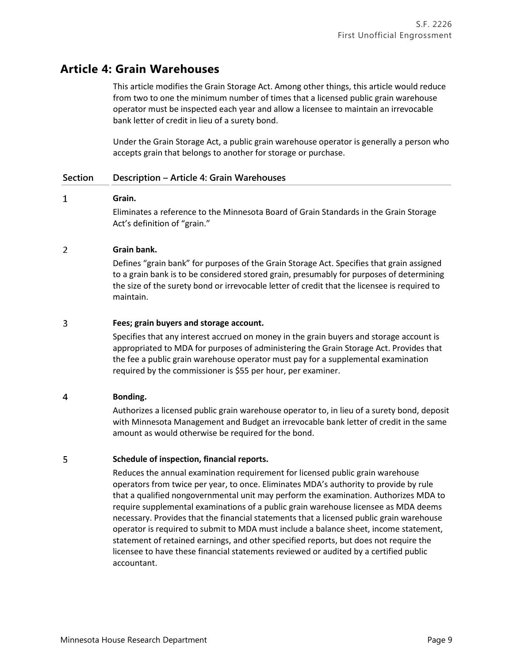# **Article 4: Grain Warehouses**

This article modifies the Grain Storage Act. Among other things, this article would reduce from two to one the minimum number of times that a licensed public grain warehouse operator must be inspected each year and allow a licensee to maintain an irrevocable bank letter of credit in lieu of a surety bond.

Under the Grain Storage Act, a public grain warehouse operator is generally a person who accepts grain that belongs to another for storage or purchase.

### **Section Description – Article 4: Grain Warehouses**

#### $\mathbf{1}$ **Grain.**

Eliminates a reference to the Minnesota Board of Grain Standards in the Grain Storage Act's definition of "grain."

#### $\overline{2}$ **Grain bank.**

Defines "grain bank" for purposes of the Grain Storage Act. Specifies that grain assigned to a grain bank is to be considered stored grain, presumably for purposes of determining the size of the surety bond or irrevocable letter of credit that the licensee is required to maintain.

#### 3 **Fees; grain buyers and storage account.**

Specifies that any interest accrued on money in the grain buyers and storage account is appropriated to MDA for purposes of administering the Grain Storage Act. Provides that the fee a public grain warehouse operator must pay for a supplemental examination required by the commissioner is \$55 per hour, per examiner.

#### $\overline{4}$ **Bonding.**

Authorizes a licensed public grain warehouse operator to, in lieu of a surety bond, deposit with Minnesota Management and Budget an irrevocable bank letter of credit in the same amount as would otherwise be required for the bond.

#### 5 **Schedule of inspection, financial reports.**

Reduces the annual examination requirement for licensed public grain warehouse operators from twice per year, to once. Eliminates MDA's authority to provide by rule that a qualified nongovernmental unit may perform the examination. Authorizes MDA to require supplemental examinations of a public grain warehouse licensee as MDA deems necessary. Provides that the financial statements that a licensed public grain warehouse operator is required to submit to MDA must include a balance sheet, income statement, statement of retained earnings, and other specified reports, but does not require the licensee to have these financial statements reviewed or audited by a certified public accountant.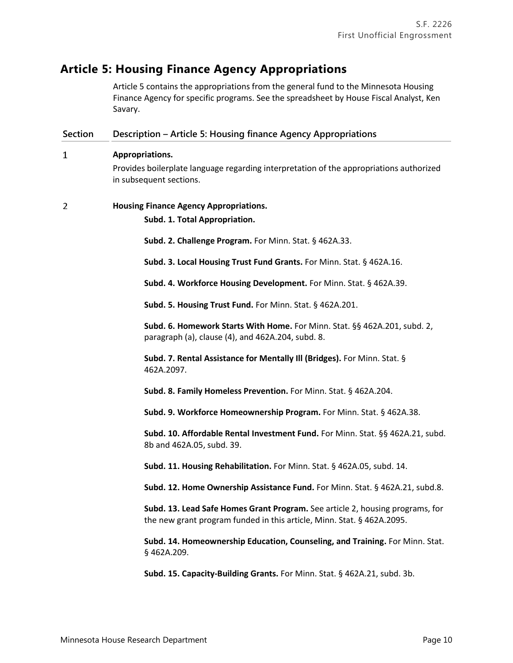# **Article 5: Housing Finance Agency Appropriations**

Article 5 contains the appropriations from the general fund to the Minnesota Housing Finance Agency for specific programs. See the spreadsheet by House Fiscal Analyst, Ken Savary.

| <b>Section</b> | Description - Article 5: Housing finance Agency Appropriations                                                                                          |
|----------------|---------------------------------------------------------------------------------------------------------------------------------------------------------|
| $\mathbf{1}$   | Appropriations.<br>Provides boilerplate language regarding interpretation of the appropriations authorized                                              |
|                | in subsequent sections.                                                                                                                                 |
| 2              | <b>Housing Finance Agency Appropriations.</b>                                                                                                           |
|                | Subd. 1. Total Appropriation.                                                                                                                           |
|                | Subd. 2. Challenge Program. For Minn. Stat. § 462A.33.                                                                                                  |
|                | Subd. 3. Local Housing Trust Fund Grants. For Minn. Stat. § 462A.16.                                                                                    |
|                | Subd. 4. Workforce Housing Development. For Minn. Stat. § 462A.39.                                                                                      |
|                | Subd. 5. Housing Trust Fund. For Minn. Stat. § 462A.201.                                                                                                |
|                | Subd. 6. Homework Starts With Home. For Minn. Stat. §§ 462A.201, subd. 2,<br>paragraph (a), clause (4), and 462A.204, subd. 8.                          |
|                | Subd. 7. Rental Assistance for Mentally III (Bridges). For Minn. Stat. §<br>462A.2097.                                                                  |
|                | Subd. 8. Family Homeless Prevention. For Minn. Stat. § 462A.204.                                                                                        |
|                | Subd. 9. Workforce Homeownership Program. For Minn. Stat. § 462A.38.                                                                                    |
|                | Subd. 10. Affordable Rental Investment Fund. For Minn. Stat. §§ 462A.21, subd.<br>8b and 462A.05, subd. 39.                                             |
|                | Subd. 11. Housing Rehabilitation. For Minn. Stat. § 462A.05, subd. 14.                                                                                  |
|                | Subd. 12. Home Ownership Assistance Fund. For Minn. Stat. § 462A.21, subd.8.                                                                            |
|                | Subd. 13. Lead Safe Homes Grant Program. See article 2, housing programs, for<br>the new grant program funded in this article, Minn. Stat. § 462A.2095. |
|                | Subd. 14. Homeownership Education, Counseling, and Training. For Minn. Stat.<br>§462A.209.                                                              |
|                | Subd. 15. Capacity-Building Grants. For Minn. Stat. § 462A.21, subd. 3b.                                                                                |